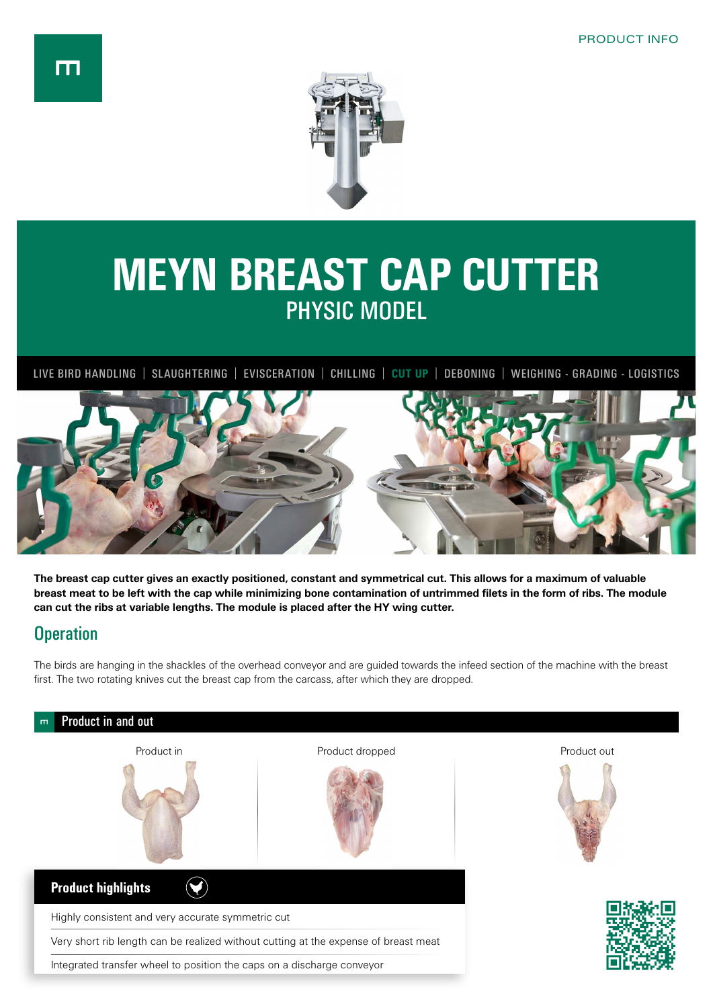

## **MEYN BREAST CAP CUTTER** PHYSIC MODEL

LIVE BIRD HANDLING | SLAUGHTERING | EVISCERATION | CHILLING | **CUT UP** | DEBONING | WEIGHING - GRADING - LOGISTICS



**The breast cap cutter gives an exactly positioned, constant and symmetrical cut. This allows for a maximum of valuable breast meat to be left with the cap while minimizing bone contamination of untrimmed filets in the form of ribs. The module can cut the ribs at variable lengths. The module is placed after the HY wing cutter.**

## **Operation**

The birds are hanging in the shackles of the overhead conveyor and are guided towards the infeed section of the machine with the breast first. The two rotating knives cut the breast cap from the carcass, after which they are dropped.